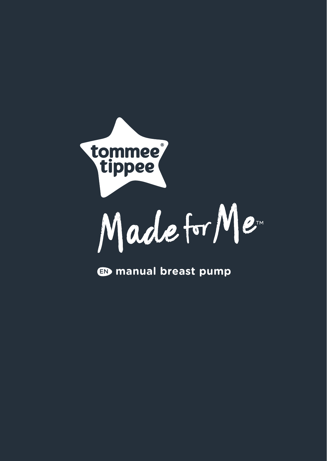

EN **manual breast pump**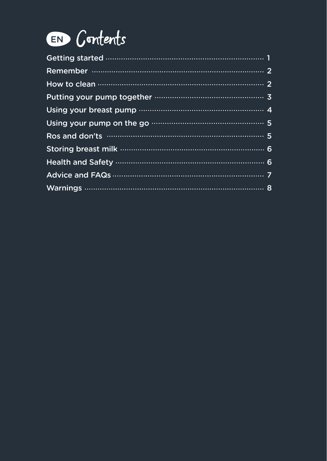

| Putting your pump together minimum minimum 3 |
|----------------------------------------------|
|                                              |
|                                              |
|                                              |
|                                              |
|                                              |
|                                              |
|                                              |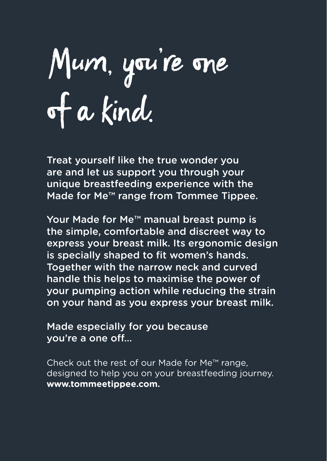# Mum, you're one of a kind.

Treat yourself like the true wonder you are and let us support you through your unique breastfeeding experience with the Made for Me™ range from Tommee Tippee.

Your Made for Me™ manual breast pump is the simple, comfortable and discreet way to express your breast milk. Its ergonomic design is specially shaped to fit women's hands. Together with the narrow neck and curved handle this helps to maximise the power of your pumping action while reducing the strain on your hand as you express your breast milk.

Made especially for you because you're a one off…

Check out the rest of our Made for Me™ range, designed to help you on your breastfeeding journey. **www.tommeetippee.com.**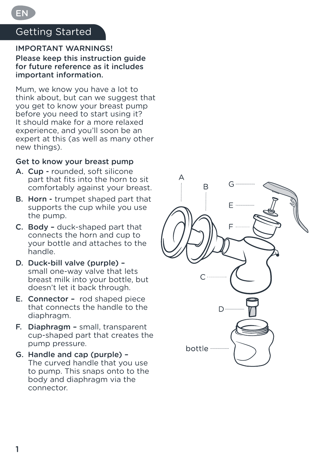# Getting Started

EN

#### IMPORTANT WARNINGS!

Please keep this instruction guide for future reference as it includes important information.

Mum, we know you have a lot to think about, but can we suggest that you get to know your breast pump before you need to start using it? It should make for a more relaxed experience, and you'll soon be an expert at this (as well as many other new things).

#### Get to know your breast pump

- A. Cup rounded, soft silicone part that fits into the horn to sit comfortably against your breast.
- B. Horn trumpet shaped part that supports the cup while you use the pump.
- C. Body duck-shaped part that connects the horn and cup to your bottle and attaches to the handle.
- D. Duck-bill valve (purple) small one-way valve that lets breast milk into your bottle, but doesn't let it back through.
- E. Connector rod shaped piece that connects the handle to the diaphragm.
- F. Diaphragm small, transparent cup-shaped part that creates the pump pressure.
- G. Handle and cap (purple) The curved handle that you use to pump. This snaps onto to the body and diaphragm via the connector.

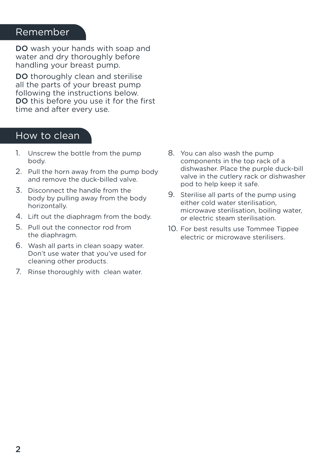# Remember

DO wash your hands with soap and water and dry thoroughly before handling your breast pump.

DO thoroughly clean and sterilise all the parts of your breast pump following the instructions below. DO this before you use it for the first time and after every use.

#### How to clean

- 1. Unscrew the bottle from the pump body.
- 2. Pull the horn away from the pump body and remove the duck-billed valve.
- 3. Disconnect the handle from the body by pulling away from the body horizontally.
- 4. Lift out the diaphragm from the body.
- 5. Pull out the connector rod from the diaphragm.
- 6. Wash all parts in clean soapy water. Don't use water that you've used for cleaning other products.
- 7. Rinse thoroughly with clean water.
- 8. You can also wash the pump components in the top rack of a dishwasher. Place the purple duck-bill valve in the cutlery rack or dishwasher pod to help keep it safe.
- 9. Sterilise all parts of the pump using either cold water sterilisation, microwave sterilisation, boiling water, or electric steam sterilisation.
- 10. For best results use Tommee Tippee electric or microwave sterilisers.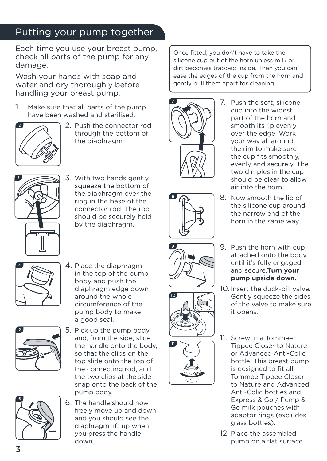# Putting your pump together

Each time you use your breast pump, check all parts of the pump for any damage.

Wash your hands with soap and water and dry thoroughly before handling your breast pump.

1. Make sure that all parts of the pump have been washed and sterilised.



2. Push the connector rod through the bottom of the diaphragm.



3. With two hands gently squeeze the bottom of the diaphragm over the ring in the base of the connector rod. The rod should be securely held by the diaphragm.





4. Place the diaphragm in the top of the pump body and push the diaphragm edge down around the whole circumference of the pump body to make a good seal.



5. Pick up the pump body and, from the side, slide the handle onto the body, so that the clips on the top slide onto the top of the connecting rod, and the two clips at the side snap onto the back of the pump body.



6. The handle should now freely move up and down and you should see the diaphragm lift up when you press the handle down.

Once fitted, you don't have to take the silicone cup out of the horn unless milk or dirt becomes trapped inside. Then you can ease the edges of the cup from the horn and gently pull them apart for cleaning.



7. Push the soft, silicone cup into the widest part of the horn and smooth its lip evenly over the edge. Work your way all around the rim to make sure the cup fits smoothly, evenly and securely. The two dimples in the cup should be clear to allow air into the horn.





the narrow end of the horn in the same way.

the silicone cup around

- 9. Push the horn with cup attached onto the body until it's fully engaged and secure.**Turn your pump upside down.**
- 10. Insert the duck-bill valve. Gently squeeze the sides of the valve to make sure it opens.
- 11. Screw in a Tommee Tippee Closer to Nature or Advanced Anti-Colic bottle. This breast pump is designed to fit all Tommee Tippee Closer to Nature and Advanced Anti-Colic bottles and Express & Go / Pump & Go milk pouches with adaptor rings (excludes glass bottles).
- 12. Place the assembled pump on a flat surface.



10

11



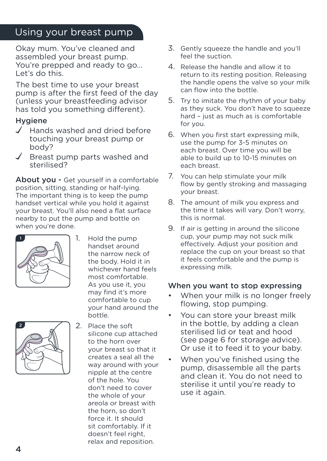# Using your breast pump

Okay mum. You've cleaned and assembled your breast pump. You're prepped and ready to go… Let's do this.

The best time to use your breast pump is after the first feed of the day (unless your breastfeeding advisor has told you something different).

#### **Hygiene**

- $\sqrt{\phantom{a}}$  Hands washed and dried before touching your breast pump or body?
- Breast pump parts washed and sterilised?

About you - Get yourself in a comfortable position, sitting, standing or half-lying. The important thing is to keep the pump handset vertical while you hold it against your breast. You'll also need a flat surface nearby to put the pump and bottle on when you're done.



1. Hold the pump handset around the narrow neck of the body. Hold it in whichever hand feels most comfortable. As you use it, you may find it's more comfortable to cup your hand around the bottle.



2. Place the soft silicone cup attached to the horn over your breast so that it creates a seal all the way around with your nipple at the centre of the hole. You don't need to cover the whole of your areola or breast with the horn, so don't force it. It should sit comfortably. If it doesn't feel right, relax and reposition.

- 3. Gently squeeze the handle and you'll feel the suction.
- 4. Release the handle and allow it to return to its resting position. Releasing the handle opens the valve so your milk can flow into the bottle.
- 5. Try to imitate the rhythm of your baby as they suck. You don't have to squeeze hard – just as much as is comfortable for you.
- 6. When you first start expressing milk, use the pump for 3-5 minutes on each breast. Over time you will be able to build up to 10-15 minutes on each breast.
- 7. You can help stimulate your milk flow by gently stroking and massaging your breast.
- 8. The amount of milk you express and the time it takes will vary. Don't worry, this is normal.
- 9. If air is getting in around the silicone cup, your pump may not suck milk effectively. Adjust your position and replace the cup on your breast so that it feels comfortable and the pump is expressing milk.

#### When you want to stop expressing

- When your milk is no longer freely flowing, stop pumping.
- You can store your breast milk in the bottle, by adding a clean sterilised lid or teat and hood (see page 6 for storage advice). Or use it to feed it to your baby.
- When you've finished using the pump, disassemble all the parts and clean it. You do not need to sterilise it until you're ready to use it again.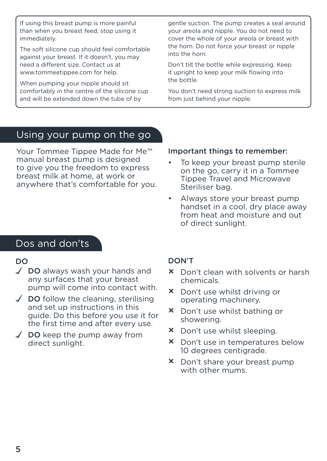If using this breast pump is more painful than when you breast feed, stop using it immediately.

The soft silicone cup should feel comfortable against your breast. If it doesn't, you may need a different size. Contact us at www.tommeetippee.com for help.

When pumping your nipple should sit comfortably in the centre of the silicone cup and will be extended down the tube of by

gentle suction. The pump creates a seal around your areola and nipple. You do not need to cover the whole of your areola or breast with the horn. Do not force your breast or nipple into the horn.

Don't tilt the bottle while expressing. Keep it upright to keep your milk flowing into the bottle.

You don't need strong suction to express milk from just behind your nipple.

### Using your pump on the go

Your Tommee Tippee Made for Me™ manual breast pump is designed to give you the freedom to express breast milk at home, at work or anywhere that's comfortable for you.

#### Important things to remember:

- To keep your breast pump sterile on the go, carry it in a Tommee Tippee Travel and Microwave Steriliser bag.
- Always store your breast pump handset in a cool, dry place away from heat and moisture and out of direct sunlight.

# Dos and don'ts

#### DO

- $\sqrt{\phantom{a}}$  DO always wash your hands and any surfaces that your breast pump will come into contact with.
- $\angle$  DO follow the cleaning, sterilising and set up instructions in this guide. Do this before you use it for the first time and after every use.
- $\checkmark$  DO keep the pump away from direct sunlight.

#### DON'T

- × Don't clean with solvents or harsh chemicals.
- × Don't use whilst driving or operating machinery.
- × Don't use whilst bathing or showering.
- × Don't use whilst sleeping.
- × Don't use in temperatures below 10 degrees centigrade.
- × Don't share your breast pump with other mums.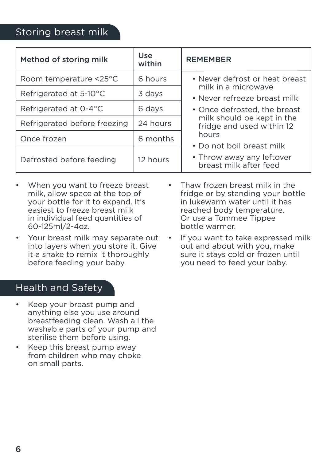# Storing breast milk

| Method of storing milk       | Use<br>within | <b>REMEMBER</b>                                                                                                                                                                                                                                                               |
|------------------------------|---------------|-------------------------------------------------------------------------------------------------------------------------------------------------------------------------------------------------------------------------------------------------------------------------------|
| Room temperature <25°C       | 6 hours       | • Never defrost or heat breast<br>milk in a microwave<br>• Never refreeze breast milk<br>• Once defrosted, the breast<br>milk should be kept in the<br>fridge and used within 12<br>hours<br>• Do not boil breast milk<br>• Throw away any leftover<br>breast milk after feed |
| Refrigerated at 5-10°C       | 3 days        |                                                                                                                                                                                                                                                                               |
| Refrigerated at 0-4°C        | 6 days        |                                                                                                                                                                                                                                                                               |
| Refrigerated before freezing | 24 hours      |                                                                                                                                                                                                                                                                               |
| Once frozen                  | 6 months      |                                                                                                                                                                                                                                                                               |
| Defrosted before feeding     | 12 hours      |                                                                                                                                                                                                                                                                               |

- When you want to freeze breast milk, allow space at the top of your bottle for it to expand. It's easiest to freeze breast milk in individual feed quantities of 60-125ml/2-4oz.
- Your breast milk may separate out into layers when you store it. Give it a shake to remix it thoroughly before feeding your baby.

# Health and Safety

- Keep your breast pump and anything else you use around breastfeeding clean. Wash all the washable parts of your pump and sterilise them before using.
- Keep this breast pump away from children who may choke on small parts.
- Thaw frozen breast milk in the fridge or by standing your bottle in lukewarm water until it has reached body temperature. Or use a Tommee Tippee bottle warmer.
- If you want to take expressed milk out and about with you, make sure it stays cold or frozen until you need to feed your baby.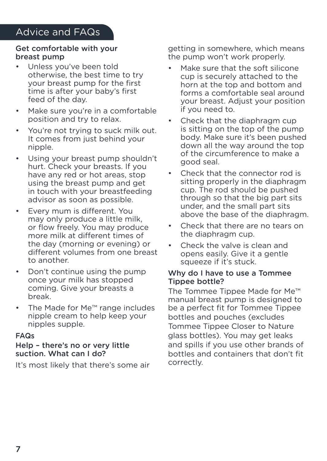#### Get comfortable with your breast pump

- Unless you've been told otherwise, the best time to try your breast pump for the first time is after your baby's first feed of the day.
- Make sure you're in a comfortable position and try to relax.
- You're not trying to suck milk out. It comes from just behind your nipple.
- have any road increased, step • Using your breast pump shouldn't hurt. Check your breasts. If you have any red or hot areas, stop in touch with your breastfeeding advisor as soon as possible.
- Every mum is different. You may only produce a little milk, or flow freely. You may produce more milk at different times of the day (morning or evening) or different volumes from one breast to another.
- Don't continue using the pump once your milk has stopped coming. Give your breasts a break.
- The Made for Me™ range includes nipple cream to help keep your nipples supple.

#### FAQs

#### Help – there's no or very little suction. What can I do?

It's most likely that there's some air

getting in somewhere, which means the pump won't work properly.

- Make sure that the soft silicone cup is securely attached to the horn at the top and bottom and forms a comfortable seal around your breast. Adjust your position if you need to.
- Check that the diaphragm cup is sitting on the top of the pump body. Make sure it's been pushed down all the way around the top of the circumference to make a good seal.
- Check that the connector rod is sitting properly in the diaphragm cup. The rod should be pushed through so that the big part sits under, and the small part sits above the base of the diaphragm.
- Check that there are no tears on the diaphragm cup.
- Check the valve is clean and opens easily. Give it a gentle squeeze if it's stuck.

#### Why do I have to use a Tommee Tippee bottle?

The Tommee Tippee Made for Me™ manual breast pump is designed to be a perfect fit for Tommee Tippee bottles and pouches (excludes Tommee Tippee Closer to Nature glass bottles). You may get leaks and spills if you use other brands of bottles and containers that don't fit correctly.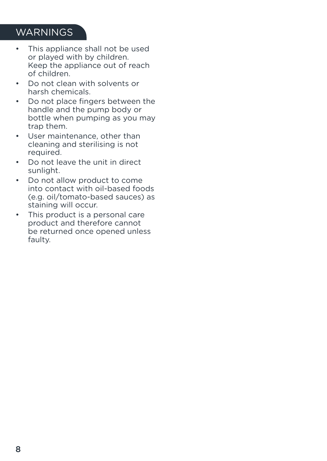# WARNINGS

- This appliance shall not be used or played with by children. Keep the appliance out of reach of children.
- Do not clean with solvents or harsh chemicals.
- Do not place fingers between the handle and the pump body or bottle when pumping as you may trap them.
- User maintenance, other than cleaning and sterilising is not required.
- Do not leave the unit in direct sunlight.
- Do not allow product to come into contact with oil-based foods (e.g. oil/tomato-based sauces) as staining will occur.
- This product is a personal care product and therefore cannot be returned once opened unless faulty.